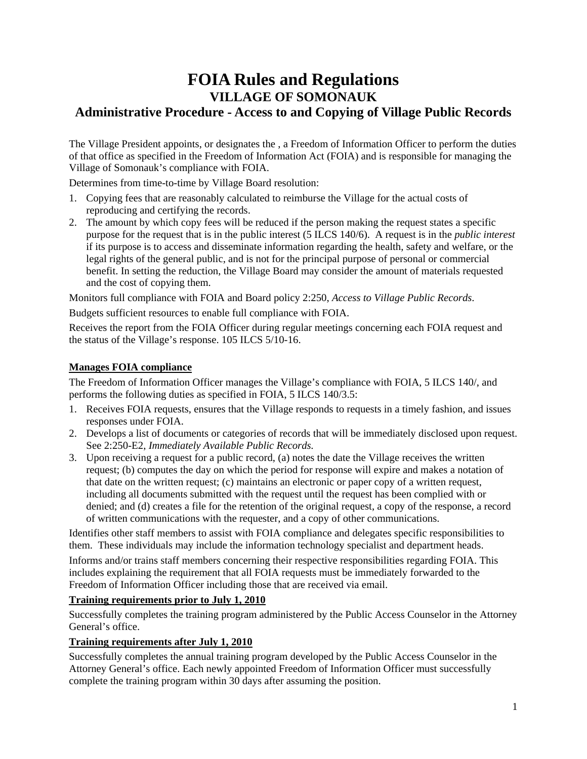# **FOIA Rules and Regulations VILLAGE OF SOMONAUK Administrative Procedure - Access to and Copying of Village Public Records**

The Village President appoints, or designates the , a Freedom of Information Officer to perform the duties of that office as specified in the Freedom of Information Act (FOIA) and is responsible for managing the Village of Somonauk's compliance with FOIA.

Determines from time-to-time by Village Board resolution:

- 1. Copying fees that are reasonably calculated to reimburse the Village for the actual costs of reproducing and certifying the records.
- 2. The amount by which copy fees will be reduced if the person making the request states a specific purpose for the request that is in the public interest (5 ILCS 140/6). A request is in the *public interest* if its purpose is to access and disseminate information regarding the health, safety and welfare, or the legal rights of the general public, and is not for the principal purpose of personal or commercial benefit. In setting the reduction, the Village Board may consider the amount of materials requested and the cost of copying them.

Monitors full compliance with FOIA and Board policy 2:250, *Access to Village Public Records*.

Budgets sufficient resources to enable full compliance with FOIA.

Receives the report from the FOIA Officer during regular meetings concerning each FOIA request and the status of the Village's response. 105 ILCS 5/10-16.

# **Manages FOIA compliance**

The Freedom of Information Officer manages the Village's compliance with FOIA, 5 ILCS 140/, and performs the following duties as specified in FOIA, 5 ILCS 140/3.5:

- 1. Receives FOIA requests, ensures that the Village responds to requests in a timely fashion, and issues responses under FOIA.
- 2. Develops a list of documents or categories of records that will be immediately disclosed upon request. See 2:250-E2, *Immediately Available Public Records.*
- 3. Upon receiving a request for a public record, (a) notes the date the Village receives the written request; (b) computes the day on which the period for response will expire and makes a notation of that date on the written request; (c) maintains an electronic or paper copy of a written request, including all documents submitted with the request until the request has been complied with or denied; and (d) creates a file for the retention of the original request, a copy of the response, a record of written communications with the requester, and a copy of other communications.

Identifies other staff members to assist with FOIA compliance and delegates specific responsibilities to them. These individuals may include the information technology specialist and department heads.

Informs and/or trains staff members concerning their respective responsibilities regarding FOIA. This includes explaining the requirement that all FOIA requests must be immediately forwarded to the Freedom of Information Officer including those that are received via email.

# **Training requirements prior to July 1, 2010**

Successfully completes the training program administered by the Public Access Counselor in the Attorney General's office.

# **Training requirements after July 1, 2010**

Successfully completes the annual training program developed by the Public Access Counselor in the Attorney General's office. Each newly appointed Freedom of Information Officer must successfully complete the training program within 30 days after assuming the position.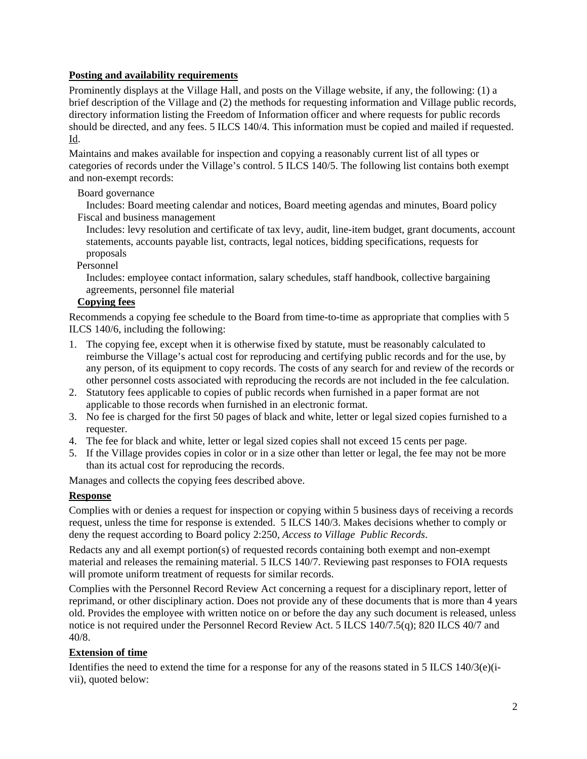# **Posting and availability requirements**

Prominently displays at the Village Hall, and posts on the Village website, if any, the following: (1) a brief description of the Village and (2) the methods for requesting information and Village public records, directory information listing the Freedom of Information officer and where requests for public records should be directed, and any fees. 5 ILCS 140/4. This information must be copied and mailed if requested. Id.

Maintains and makes available for inspection and copying a reasonably current list of all types or categories of records under the Village's control. 5 ILCS 140/5. The following list contains both exempt and non-exempt records:

# Board governance

 Includes: Board meeting calendar and notices, Board meeting agendas and minutes, Board policy Fiscal and business management

 Includes: levy resolution and certificate of tax levy, audit, line-item budget, grant documents, account statements, accounts payable list, contracts, legal notices, bidding specifications, requests for proposals

### Personnel

 Includes: employee contact information, salary schedules, staff handbook, collective bargaining agreements, personnel file material

### **Copying fees**

Recommends a copying fee schedule to the Board from time-to-time as appropriate that complies with 5 ILCS 140/6, including the following:

- 1. The copying fee, except when it is otherwise fixed by statute, must be reasonably calculated to reimburse the Village's actual cost for reproducing and certifying public records and for the use, by any person, of its equipment to copy records. The costs of any search for and review of the records or other personnel costs associated with reproducing the records are not included in the fee calculation.
- 2. Statutory fees applicable to copies of public records when furnished in a paper format are not applicable to those records when furnished in an electronic format.
- 3. No fee is charged for the first 50 pages of black and white, letter or legal sized copies furnished to a requester.
- 4. The fee for black and white, letter or legal sized copies shall not exceed 15 cents per page.
- 5. If the Village provides copies in color or in a size other than letter or legal, the fee may not be more than its actual cost for reproducing the records.

Manages and collects the copying fees described above.

# **Response**

Complies with or denies a request for inspection or copying within 5 business days of receiving a records request, unless the time for response is extended. 5 ILCS 140/3. Makes decisions whether to comply or deny the request according to Board policy 2:250, *Access to Village Public Records*.

Redacts any and all exempt portion(s) of requested records containing both exempt and non-exempt material and releases the remaining material. 5 ILCS 140/7. Reviewing past responses to FOIA requests will promote uniform treatment of requests for similar records.

Complies with the Personnel Record Review Act concerning a request for a disciplinary report, letter of reprimand, or other disciplinary action. Does not provide any of these documents that is more than 4 years old. Provides the employee with written notice on or before the day any such document is released, unless notice is not required under the Personnel Record Review Act. 5 ILCS 140/7.5(q); 820 ILCS 40/7 and 40/8.

### **Extension of time**

Identifies the need to extend the time for a response for any of the reasons stated in 5 ILCS  $140/3$ (e)(ivii), quoted below: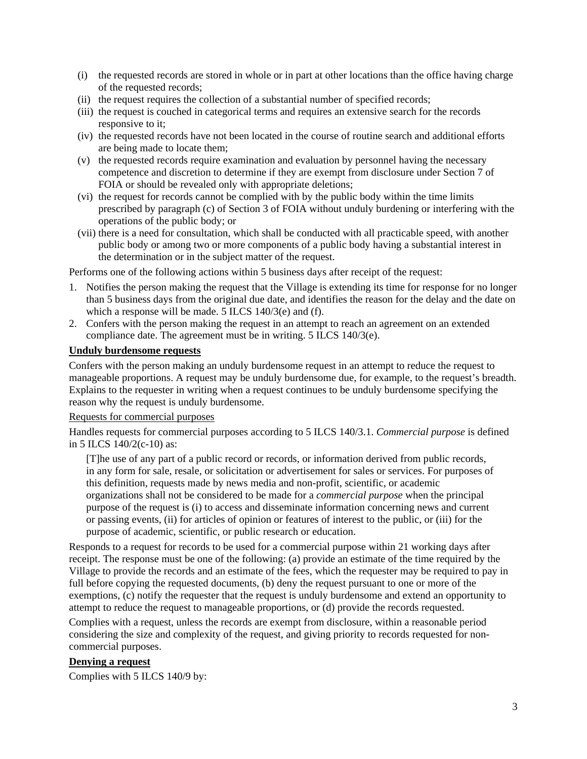- (i) the requested records are stored in whole or in part at other locations than the office having charge of the requested records;
- (ii) the request requires the collection of a substantial number of specified records;
- (iii) the request is couched in categorical terms and requires an extensive search for the records responsive to it;
- (iv) the requested records have not been located in the course of routine search and additional efforts are being made to locate them;
- (v) the requested records require examination and evaluation by personnel having the necessary competence and discretion to determine if they are exempt from disclosure under Section 7 of FOIA or should be revealed only with appropriate deletions;
- (vi) the request for records cannot be complied with by the public body within the time limits prescribed by paragraph (c) of Section 3 of FOIA without unduly burdening or interfering with the operations of the public body; or
- (vii) there is a need for consultation, which shall be conducted with all practicable speed, with another public body or among two or more components of a public body having a substantial interest in the determination or in the subject matter of the request.

Performs one of the following actions within 5 business days after receipt of the request:

- 1. Notifies the person making the request that the Village is extending its time for response for no longer than 5 business days from the original due date, and identifies the reason for the delay and the date on which a response will be made. 5 ILCS 140/3(e) and (f).
- 2. Confers with the person making the request in an attempt to reach an agreement on an extended compliance date. The agreement must be in writing. 5 ILCS 140/3(e).

#### **Unduly burdensome requests**

Confers with the person making an unduly burdensome request in an attempt to reduce the request to manageable proportions. A request may be unduly burdensome due, for example, to the request's breadth. Explains to the requester in writing when a request continues to be unduly burdensome specifying the reason why the request is unduly burdensome.

#### Requests for commercial purposes

Handles requests for commercial purposes according to 5 ILCS 140/3.1. *Commercial purpose* is defined in 5 ILCS 140/2(c-10) as:

[T]he use of any part of a public record or records, or information derived from public records, in any form for sale, resale, or solicitation or advertisement for sales or services. For purposes of this definition, requests made by news media and non-profit, scientific, or academic organizations shall not be considered to be made for a *commercial purpose* when the principal purpose of the request is (i) to access and disseminate information concerning news and current or passing events, (ii) for articles of opinion or features of interest to the public, or (iii) for the purpose of academic, scientific, or public research or education.

Responds to a request for records to be used for a commercial purpose within 21 working days after receipt. The response must be one of the following: (a) provide an estimate of the time required by the Village to provide the records and an estimate of the fees, which the requester may be required to pay in full before copying the requested documents, (b) deny the request pursuant to one or more of the exemptions, (c) notify the requester that the request is unduly burdensome and extend an opportunity to attempt to reduce the request to manageable proportions, or (d) provide the records requested.

Complies with a request, unless the records are exempt from disclosure, within a reasonable period considering the size and complexity of the request, and giving priority to records requested for noncommercial purposes.

#### **Denying a request**

Complies with 5 ILCS 140/9 by: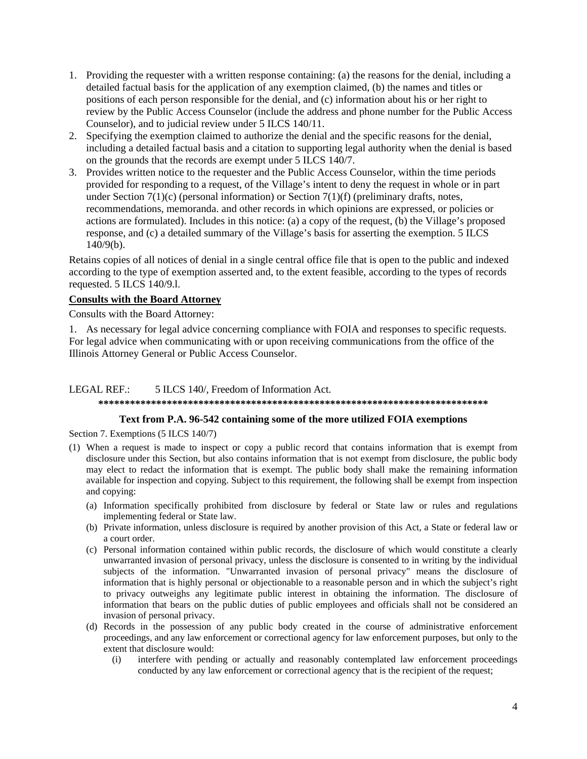- 1. Providing the requester with a written response containing: (a) the reasons for the denial, including a detailed factual basis for the application of any exemption claimed, (b) the names and titles or positions of each person responsible for the denial, and (c) information about his or her right to review by the Public Access Counselor (include the address and phone number for the Public Access Counselor), and to judicial review under 5 ILCS 140/11.
- 2. Specifying the exemption claimed to authorize the denial and the specific reasons for the denial, including a detailed factual basis and a citation to supporting legal authority when the denial is based on the grounds that the records are exempt under 5 ILCS 140/7.
- 3. Provides written notice to the requester and the Public Access Counselor, within the time periods provided for responding to a request, of the Village's intent to deny the request in whole or in part under Section  $7(1)(c)$  (personal information) or Section  $7(1)(f)$  (preliminary drafts, notes, recommendations, memoranda. and other records in which opinions are expressed, or policies or actions are formulated). Includes in this notice: (a) a copy of the request, (b) the Village's proposed response, and (c) a detailed summary of the Village's basis for asserting the exemption. 5 ILCS 140/9(b).

Retains copies of all notices of denial in a single central office file that is open to the public and indexed according to the type of exemption asserted and, to the extent feasible, according to the types of records requested. 5 ILCS 140/9.l.

#### **Consults with the Board Attorney**

Consults with the Board Attorney:

1. As necessary for legal advice concerning compliance with FOIA and responses to specific requests. For legal advice when communicating with or upon receiving communications from the office of the Illinois Attorney General or Public Access Counselor.

#### LEGAL REF.: 5 ILCS 140/, Freedom of Information Act. **\*\*\*\*\*\*\*\*\*\*\*\*\*\*\*\*\*\*\*\*\*\*\*\*\*\*\*\*\*\*\*\*\*\*\*\*\*\*\*\*\*\*\*\*\*\*\*\*\*\*\*\*\*\*\*\*\*\*\*\*\*\*\*\*\*\*\*\*\*\*\*\*\*\***

### **Text from P.A. 96-542 containing some of the more utilized FOIA exemptions**

Section 7. Exemptions (5 ILCS 140/7)

- (1) When a request is made to inspect or copy a public record that contains information that is exempt from disclosure under this Section, but also contains information that is not exempt from disclosure, the public body may elect to redact the information that is exempt. The public body shall make the remaining information available for inspection and copying. Subject to this requirement, the following shall be exempt from inspection and copying:
	- (a) Information specifically prohibited from disclosure by federal or State law or rules and regulations implementing federal or State law.
	- (b) Private information, unless disclosure is required by another provision of this Act, a State or federal law or a court order.
	- (c) Personal information contained within public records, the disclosure of which would constitute a clearly unwarranted invasion of personal privacy, unless the disclosure is consented to in writing by the individual subjects of the information. "Unwarranted invasion of personal privacy" means the disclosure of information that is highly personal or objectionable to a reasonable person and in which the subject's right to privacy outweighs any legitimate public interest in obtaining the information. The disclosure of information that bears on the public duties of public employees and officials shall not be considered an invasion of personal privacy.
	- (d) Records in the possession of any public body created in the course of administrative enforcement proceedings, and any law enforcement or correctional agency for law enforcement purposes, but only to the extent that disclosure would:
		- (i) interfere with pending or actually and reasonably contemplated law enforcement proceedings conducted by any law enforcement or correctional agency that is the recipient of the request;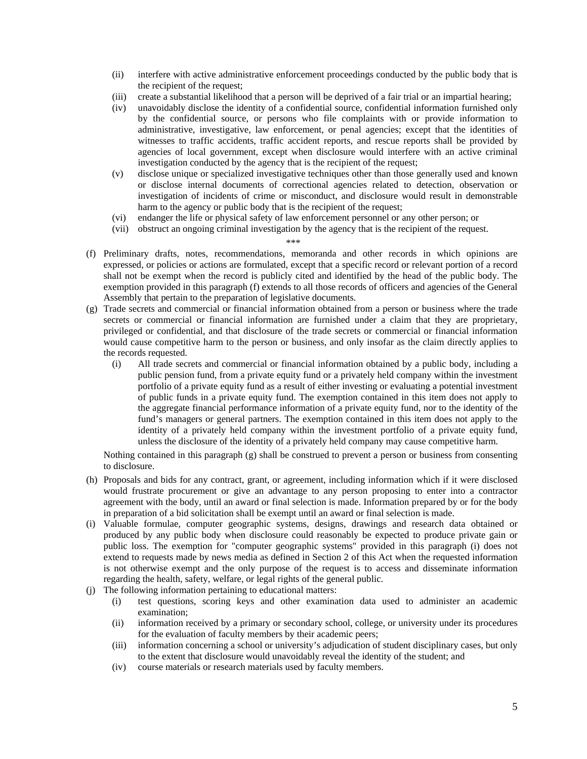- (ii) interfere with active administrative enforcement proceedings conducted by the public body that is the recipient of the request;
- (iii) create a substantial likelihood that a person will be deprived of a fair trial or an impartial hearing;
- (iv) unavoidably disclose the identity of a confidential source, confidential information furnished only by the confidential source, or persons who file complaints with or provide information to administrative, investigative, law enforcement, or penal agencies; except that the identities of witnesses to traffic accidents, traffic accident reports, and rescue reports shall be provided by agencies of local government, except when disclosure would interfere with an active criminal investigation conducted by the agency that is the recipient of the request;
- (v) disclose unique or specialized investigative techniques other than those generally used and known or disclose internal documents of correctional agencies related to detection, observation or investigation of incidents of crime or misconduct, and disclosure would result in demonstrable harm to the agency or public body that is the recipient of the request;
- (vi) endanger the life or physical safety of law enforcement personnel or any other person; or
- (vii) obstruct an ongoing criminal investigation by the agency that is the recipient of the request.

#### \*\*\*

- (f) Preliminary drafts, notes, recommendations, memoranda and other records in which opinions are expressed, or policies or actions are formulated, except that a specific record or relevant portion of a record shall not be exempt when the record is publicly cited and identified by the head of the public body. The exemption provided in this paragraph (f) extends to all those records of officers and agencies of the General Assembly that pertain to the preparation of legislative documents.
- (g) Trade secrets and commercial or financial information obtained from a person or business where the trade secrets or commercial or financial information are furnished under a claim that they are proprietary, privileged or confidential, and that disclosure of the trade secrets or commercial or financial information would cause competitive harm to the person or business, and only insofar as the claim directly applies to the records requested.
	- (i) All trade secrets and commercial or financial information obtained by a public body, including a public pension fund, from a private equity fund or a privately held company within the investment portfolio of a private equity fund as a result of either investing or evaluating a potential investment of public funds in a private equity fund. The exemption contained in this item does not apply to the aggregate financial performance information of a private equity fund, nor to the identity of the fund's managers or general partners. The exemption contained in this item does not apply to the identity of a privately held company within the investment portfolio of a private equity fund, unless the disclosure of the identity of a privately held company may cause competitive harm.

Nothing contained in this paragraph (g) shall be construed to prevent a person or business from consenting to disclosure.

- (h) Proposals and bids for any contract, grant, or agreement, including information which if it were disclosed would frustrate procurement or give an advantage to any person proposing to enter into a contractor agreement with the body, until an award or final selection is made. Information prepared by or for the body in preparation of a bid solicitation shall be exempt until an award or final selection is made.
- (i) Valuable formulae, computer geographic systems, designs, drawings and research data obtained or produced by any public body when disclosure could reasonably be expected to produce private gain or public loss. The exemption for "computer geographic systems" provided in this paragraph (i) does not extend to requests made by news media as defined in Section 2 of this Act when the requested information is not otherwise exempt and the only purpose of the request is to access and disseminate information regarding the health, safety, welfare, or legal rights of the general public.
- (j) The following information pertaining to educational matters:
	- (i) test questions, scoring keys and other examination data used to administer an academic examination;
	- (ii) information received by a primary or secondary school, college, or university under its procedures for the evaluation of faculty members by their academic peers;
	- (iii) information concerning a school or university's adjudication of student disciplinary cases, but only to the extent that disclosure would unavoidably reveal the identity of the student; and
	- (iv) course materials or research materials used by faculty members.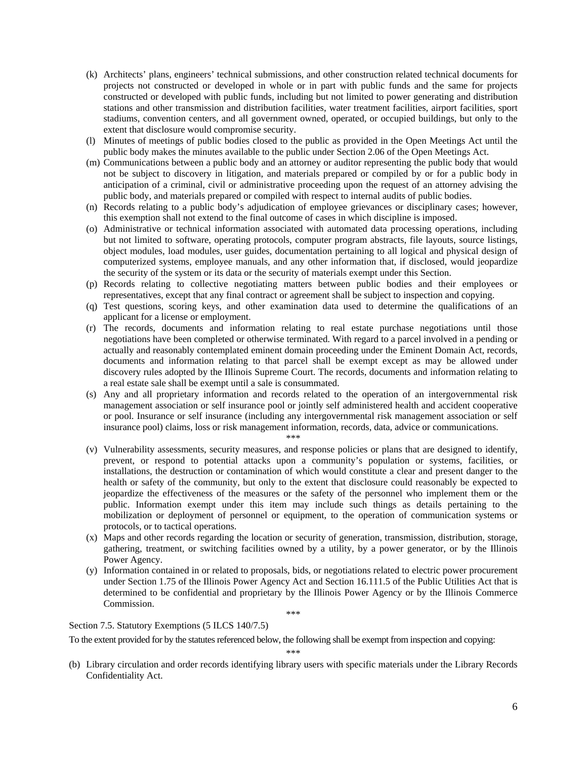- (k) Architects' plans, engineers' technical submissions, and other construction related technical documents for projects not constructed or developed in whole or in part with public funds and the same for projects constructed or developed with public funds, including but not limited to power generating and distribution stations and other transmission and distribution facilities, water treatment facilities, airport facilities, sport stadiums, convention centers, and all government owned, operated, or occupied buildings, but only to the extent that disclosure would compromise security.
- (l) Minutes of meetings of public bodies closed to the public as provided in the Open Meetings Act until the public body makes the minutes available to the public under Section 2.06 of the Open Meetings Act.
- (m) Communications between a public body and an attorney or auditor representing the public body that would not be subject to discovery in litigation, and materials prepared or compiled by or for a public body in anticipation of a criminal, civil or administrative proceeding upon the request of an attorney advising the public body, and materials prepared or compiled with respect to internal audits of public bodies.
- (n) Records relating to a public body's adjudication of employee grievances or disciplinary cases; however, this exemption shall not extend to the final outcome of cases in which discipline is imposed.
- (o) Administrative or technical information associated with automated data processing operations, including but not limited to software, operating protocols, computer program abstracts, file layouts, source listings, object modules, load modules, user guides, documentation pertaining to all logical and physical design of computerized systems, employee manuals, and any other information that, if disclosed, would jeopardize the security of the system or its data or the security of materials exempt under this Section.
- (p) Records relating to collective negotiating matters between public bodies and their employees or representatives, except that any final contract or agreement shall be subject to inspection and copying.
- (q) Test questions, scoring keys, and other examination data used to determine the qualifications of an applicant for a license or employment.
- (r) The records, documents and information relating to real estate purchase negotiations until those negotiations have been completed or otherwise terminated. With regard to a parcel involved in a pending or actually and reasonably contemplated eminent domain proceeding under the Eminent Domain Act, records, documents and information relating to that parcel shall be exempt except as may be allowed under discovery rules adopted by the Illinois Supreme Court. The records, documents and information relating to a real estate sale shall be exempt until a sale is consummated.
- (s) Any and all proprietary information and records related to the operation of an intergovernmental risk management association or self insurance pool or jointly self administered health and accident cooperative or pool. Insurance or self insurance (including any intergovernmental risk management association or self insurance pool) claims, loss or risk management information, records, data, advice or communications.
	- \*\*\*
- (v) Vulnerability assessments, security measures, and response policies or plans that are designed to identify, prevent, or respond to potential attacks upon a community's population or systems, facilities, or installations, the destruction or contamination of which would constitute a clear and present danger to the health or safety of the community, but only to the extent that disclosure could reasonably be expected to jeopardize the effectiveness of the measures or the safety of the personnel who implement them or the public. Information exempt under this item may include such things as details pertaining to the mobilization or deployment of personnel or equipment, to the operation of communication systems or protocols, or to tactical operations.
- (x) Maps and other records regarding the location or security of generation, transmission, distribution, storage, gathering, treatment, or switching facilities owned by a utility, by a power generator, or by the Illinois Power Agency.
- (y) Information contained in or related to proposals, bids, or negotiations related to electric power procurement under Section 1.75 of the Illinois Power Agency Act and Section 16.111.5 of the Public Utilities Act that is determined to be confidential and proprietary by the Illinois Power Agency or by the Illinois Commerce Commission.

\*\*\*

Section 7.5. Statutory Exemptions (5 ILCS 140/7.5)

To the extent provided for by the statutes referenced below, the following shall be exempt from inspection and copying:

\*\*\*

(b) Library circulation and order records identifying library users with specific materials under the Library Records Confidentiality Act.